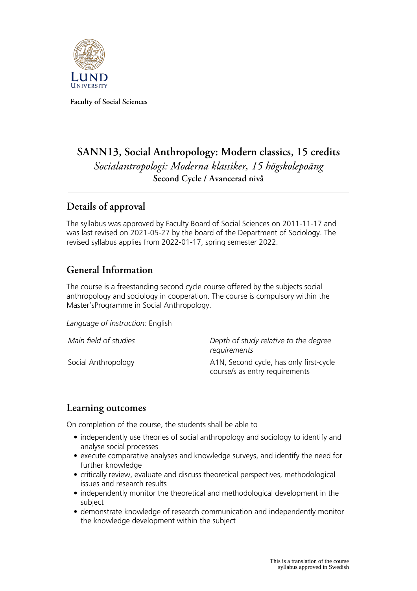

**Faculty of Social Sciences**

# **SANN13, Social Anthropology: Modern classics, 15 credits** *Socialantropologi: Moderna klassiker, 15 högskolepoäng* **Second Cycle / Avancerad nivå**

## **Details of approval**

The syllabus was approved by Faculty Board of Social Sciences on 2011-11-17 and was last revised on 2021-05-27 by the board of the Department of Sociology. The revised syllabus applies from 2022-01-17, spring semester 2022.

## **General Information**

The course is a freestanding second cycle course offered by the subjects social anthropology and sociology in cooperation. The course is compulsory within the Master'sProgramme in Social Anthropology.

*Language of instruction:* English

| Main field of studies | Depth of study relative to the degree<br>requirements                     |
|-----------------------|---------------------------------------------------------------------------|
| Social Anthropology   | A1N, Second cycle, has only first-cycle<br>course/s as entry requirements |

#### **Learning outcomes**

On completion of the course, the students shall be able to

- independently use theories of social anthropology and sociology to identify and analyse social processes
- execute comparative analyses and knowledge surveys, and identify the need for further knowledge
- critically review, evaluate and discuss theoretical perspectives, methodological issues and research results
- independently monitor the theoretical and methodological development in the subject
- demonstrate knowledge of research communication and independently monitor the knowledge development within the subject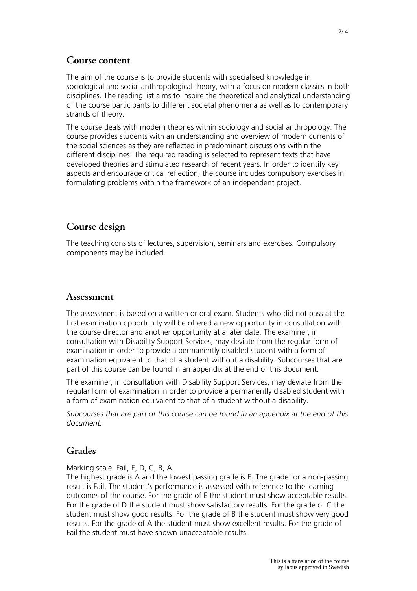### **Course content**

The aim of the course is to provide students with specialised knowledge in sociological and social anthropological theory, with a focus on modern classics in both disciplines. The reading list aims to inspire the theoretical and analytical understanding of the course participants to different societal phenomena as well as to contemporary strands of theory.

The course deals with modern theories within sociology and social anthropology. The course provides students with an understanding and overview of modern currents of the social sciences as they are reflected in predominant discussions within the different disciplines. The required reading is selected to represent texts that have developed theories and stimulated research of recent years. In order to identify key aspects and encourage critical reflection, the course includes compulsory exercises in formulating problems within the framework of an independent project.

### **Course design**

The teaching consists of lectures, supervision, seminars and exercises. Compulsory components may be included.

#### **Assessment**

The assessment is based on a written or oral exam. Students who did not pass at the first examination opportunity will be offered a new opportunity in consultation with the course director and another opportunity at a later date. The examiner, in consultation with Disability Support Services, may deviate from the regular form of examination in order to provide a permanently disabled student with a form of examination equivalent to that of a student without a disability. Subcourses that are part of this course can be found in an appendix at the end of this document.

The examiner, in consultation with Disability Support Services, may deviate from the regular form of examination in order to provide a permanently disabled student with a form of examination equivalent to that of a student without a disability.

*Subcourses that are part of this course can be found in an appendix at the end of this document.*

#### **Grades**

Marking scale: Fail, E, D, C, B, A.

The highest grade is A and the lowest passing grade is E. The grade for a non-passing result is Fail. The student's performance is assessed with reference to the learning outcomes of the course. For the grade of E the student must show acceptable results. For the grade of D the student must show satisfactory results. For the grade of C the student must show good results. For the grade of B the student must show very good results. For the grade of A the student must show excellent results. For the grade of Fail the student must have shown unacceptable results.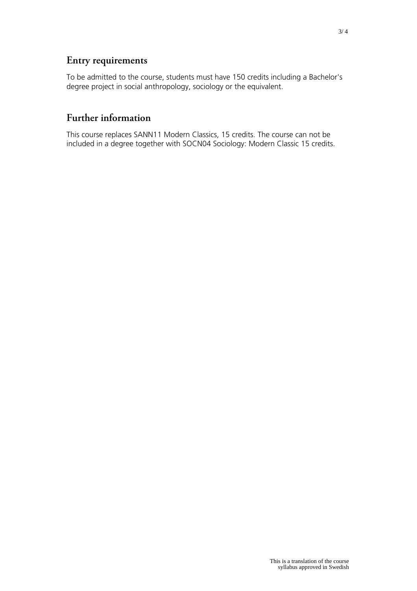## **Entry requirements**

To be admitted to the course, students must have 150 credits including a Bachelor's degree project in social anthropology, sociology or the equivalent.

## **Further information**

This course replaces SANN11 Modern Classics, 15 credits. The course can not be included in a degree together with SOCN04 Sociology: Modern Classic 15 credits.